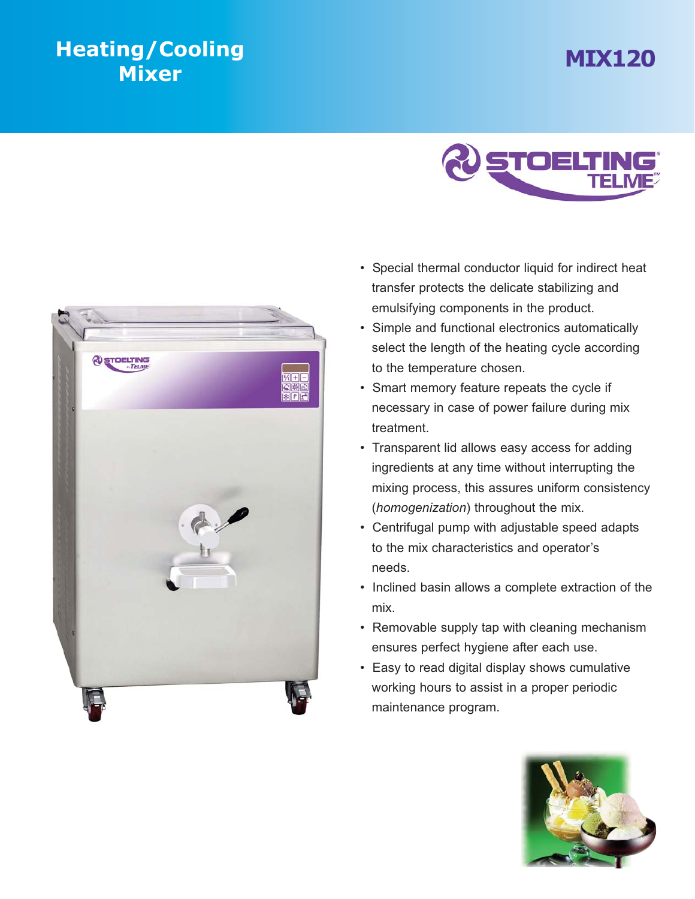## **MIX120 Heating**





- Special thermal conductor liquid for indirect heat transfer protects the delicate stabilizing and emulsifying components in the product.
- Simple and functional electronics automatically select the length of the heating cycle according to the temperature chosen.
- Smart memory feature repeats the cycle if necessary in case of power failure during mix treatment.
- Transparent lid allows easy access for adding ingredients at any time without interrupting the mixing process, this assures uniform consistency (*homogenization*) throughout the mix.
- Centrifugal pump with adjustable speed adapts to the mix characteristics and operator's needs.
- Inclined basin allows a complete extraction of the mix.
- Removable supply tap with cleaning mechanism ensures perfect hygiene after each use.
- Easy to read digital display shows cumulative working hours to assist in a proper periodic maintenance program.